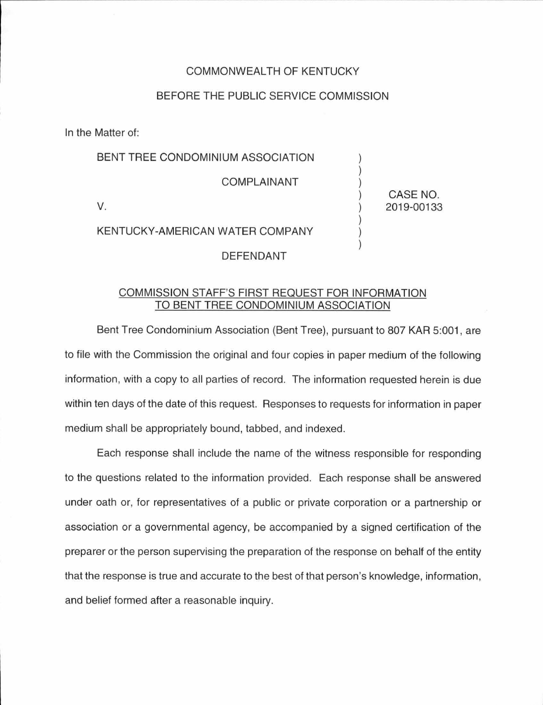## COMMONWEALTH OF KENTUCKY

## BEFORE THE PUBLIC SERVICE COMMISSION

In the Matter of:

| BENT TREE CONDOMINIUM ASSOCIATION |                        |
|-----------------------------------|------------------------|
| <b>COMPLAINANT</b>                |                        |
|                                   | CASE NO.<br>2019-00133 |
| KENTUCKY-AMERICAN WATER COMPANY   |                        |
| DEFENDANT                         |                        |

## COMMISSION STAFF'S FIRST REQUEST FOR INFORMATION TO BENT TREE CONDOMINIUM ASSOCIATION

Bent Tree Condominium Association (Bent Tree), pursuant to 807 KAR 5:001 , are to file with the Commission the original and four copies in paper medium of the following information, with a copy to all parties of record. The information requested herein is due within ten days of the date of this request. Responses to requests for information in paper medium shall be appropriately bound, tabbed, and indexed.

Each response shall include the name of the witness responsible for responding to the questions related to the information provided. Each response shall be answered under oath or, for representatives of a public or private corporation or a partnership or association or a governmental agency, be accompanied by a signed certification of the preparer or the person supervising the preparation of the response on behalf of the entity that the response is true and accurate to the best of that person's knowledge, information, and belief formed after a reasonable inquiry.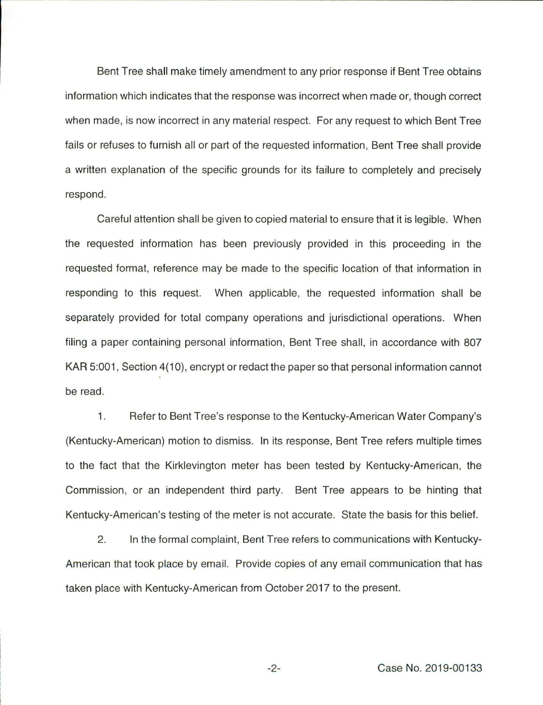Bent Tree shall make timely amendment to any prior response if Bent Tree obtains information which indicates that the response was incorrect when made or, though correct when made, is now incorrect in any material respect. For any request to which Bent Tree fails or refuses to furnish all or part of the requested information, Bent Tree shall provide a written explanation of the specific grounds for its failure to completely and precisely respond.

Careful attention shall be given to copied material to ensure that it is legible. When the requested information has been previously provided in this proceeding in the requested format, reference may be made to the specific location of that information in responding to this request. When applicable, the requested information shall be separately provided for total company operations and jurisdictional operations. When filing a paper containing personal information, Bent Tree shall, in accordance with 807 KAR 5:001, Section 4(10), encrypt or redact the paper so that personal information cannot be read.

1. Refer to Bent Tree's response to the Kentucky-American Water Company's (Kentucky-American) motion to dismiss. In its response, Bent Tree refers multiple times to the fact that the Kirklevington meter has been tested by Kentucky-American, the Commission, or an independent third party. Bent Tree appears to be hinting that Kentucky-American's testing of the meter is not accurate. State the basis for this belief.

2. In the formal complaint, Bent Tree refers to communications with Kentucky-American that took place by email. Provide copies of any email communication that has taken place with Kentucky-American from October 2017 to the present.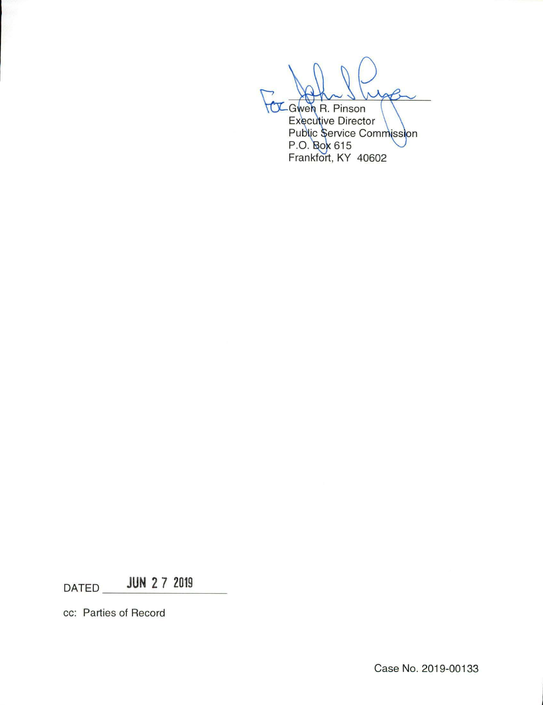-Gwen R. Pinson<br>Executive Director

Public Service Commission<br>P.O. Bok 615<br>Frankfort, KY 40602

 $DATA$  **JUN 2 7 2019** 

cc: Parties of Record